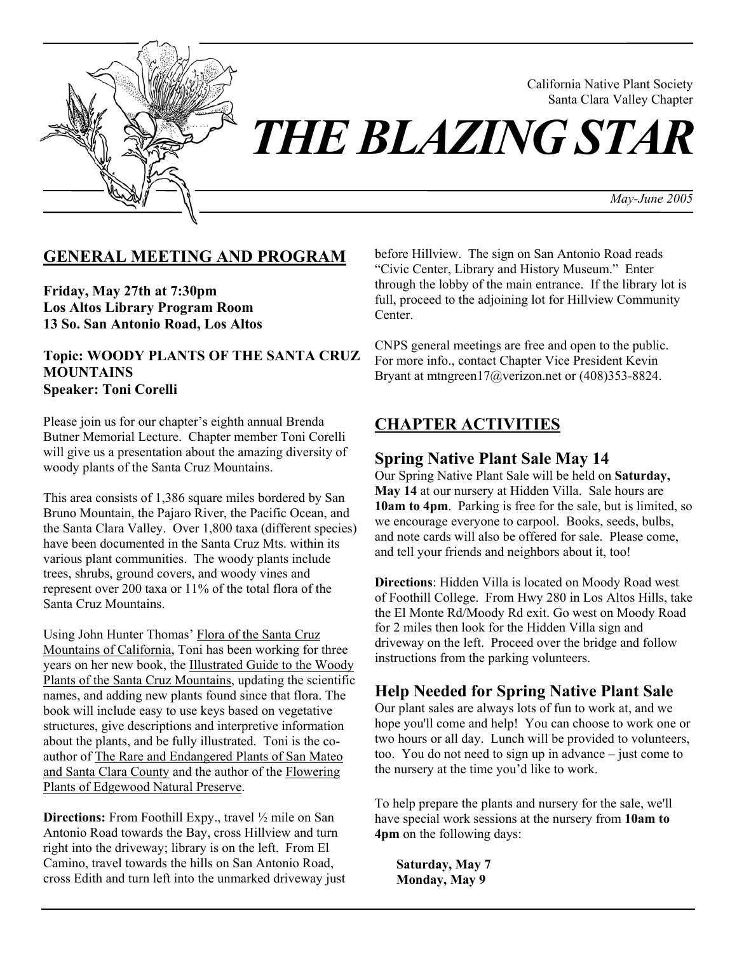

California Native Plant Society Santa Clara Valley Chapter

*THE BLAZING STAR* 

*May-June 2005* 

### **GENERAL MEETING AND PROGRAM**

**Friday, May 27th at 7:30pm Los Altos Library Program Room 13 So. San Antonio Road, Los Altos** 

### **Topic: WOODY PLANTS OF THE SANTA CRUZ MOUNTAINS Speaker: Toni Corelli**

Please join us for our chapter's eighth annual Brenda Butner Memorial Lecture. Chapter member Toni Corelli will give us a presentation about the amazing diversity of woody plants of the Santa Cruz Mountains.

This area consists of 1,386 square miles bordered by San Bruno Mountain, the Pajaro River, the Pacific Ocean, and the Santa Clara Valley. Over 1,800 taxa (different species) have been documented in the Santa Cruz Mts. within its various plant communities. The woody plants include trees, shrubs, ground covers, and woody vines and represent over 200 taxa or 11% of the total flora of the Santa Cruz Mountains.

Using John Hunter Thomas' Flora of the Santa Cruz Mountains of California, Toni has been working for three years on her new book, the Illustrated Guide to the Woody Plants of the Santa Cruz Mountains, updating the scientific names, and adding new plants found since that flora. The book will include easy to use keys based on vegetative structures, give descriptions and interpretive information about the plants, and be fully illustrated. Toni is the coauthor of The Rare and Endangered Plants of San Mateo and Santa Clara County and the author of the Flowering Plants of Edgewood Natural Preserve.

**Directions:** From Foothill Expy., travel  $\frac{1}{2}$  mile on San Antonio Road towards the Bay, cross Hillview and turn right into the driveway; library is on the left. From El Camino, travel towards the hills on San Antonio Road, cross Edith and turn left into the unmarked driveway just before Hillview. The sign on San Antonio Road reads "Civic Center, Library and History Museum." Enter through the lobby of the main entrance. If the library lot is full, proceed to the adjoining lot for Hillview Community Center.

CNPS general meetings are free and open to the public. For more info., contact Chapter Vice President Kevin Bryant at mtngreen17@verizon.net or (408)353-8824.

# **CHAPTER ACTIVITIES**

### **Spring Native Plant Sale May 14**

Our Spring Native Plant Sale will be held on **Saturday, May 14** at our nursery at Hidden Villa. Sale hours are **10am to 4pm**. Parking is free for the sale, but is limited, so we encourage everyone to carpool. Books, seeds, bulbs, and note cards will also be offered for sale. Please come, and tell your friends and neighbors about it, too!

**Directions**: Hidden Villa is located on Moody Road west of Foothill College. From Hwy 280 in Los Altos Hills, take the El Monte Rd/Moody Rd exit. Go west on Moody Road for 2 miles then look for the Hidden Villa sign and driveway on the left. Proceed over the bridge and follow instructions from the parking volunteers.

### **Help Needed for Spring Native Plant Sale**

Our plant sales are always lots of fun to work at, and we hope you'll come and help! You can choose to work one or two hours or all day. Lunch will be provided to volunteers, too. You do not need to sign up in advance – just come to the nursery at the time you'd like to work.

To help prepare the plants and nursery for the sale, we'll have special work sessions at the nursery from **10am to 4pm** on the following days:

**Saturday, May 7 Monday, May 9**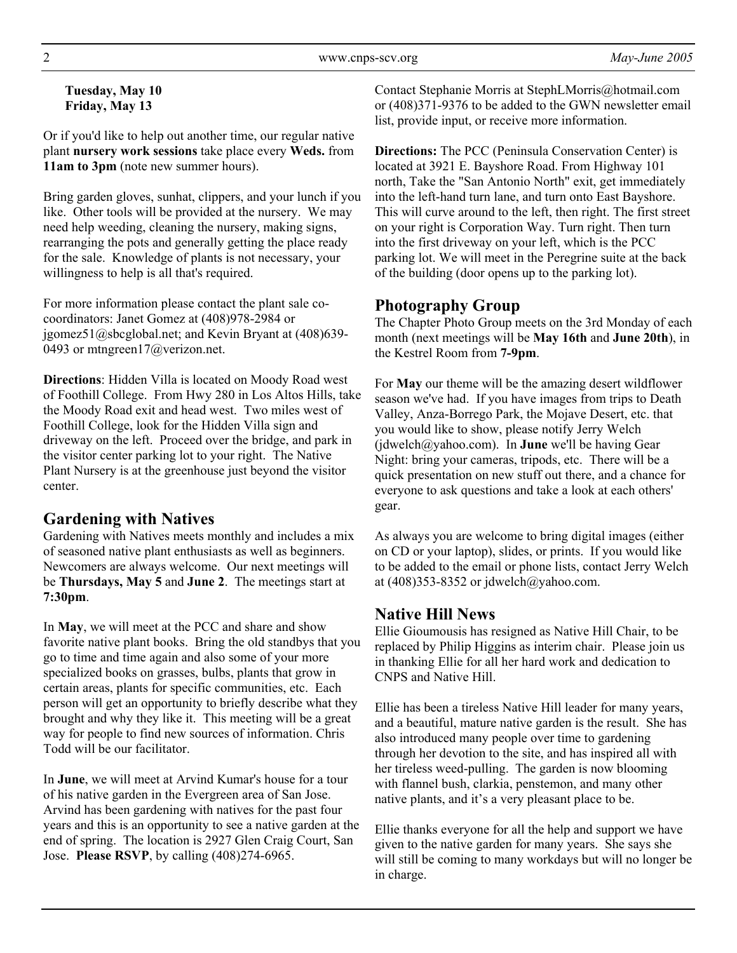### **Tuesday, May 10 Friday, May 13**

Or if you'd like to help out another time, our regular native plant **nursery work sessions** take place every **Weds.** from **11am to 3pm** (note new summer hours).

Bring garden gloves, sunhat, clippers, and your lunch if you like. Other tools will be provided at the nursery. We may need help weeding, cleaning the nursery, making signs, rearranging the pots and generally getting the place ready for the sale. Knowledge of plants is not necessary, your willingness to help is all that's required.

For more information please contact the plant sale cocoordinators: Janet Gomez at (408)978-2984 or jgomez51@sbcglobal.net; and Kevin Bryant at (408)639- 0493 or mtngreen17@verizon.net.

**Directions**: Hidden Villa is located on Moody Road west of Foothill College. From Hwy 280 in Los Altos Hills, take the Moody Road exit and head west. Two miles west of Foothill College, look for the Hidden Villa sign and driveway on the left. Proceed over the bridge, and park in the visitor center parking lot to your right. The Native Plant Nursery is at the greenhouse just beyond the visitor center.

# **Gardening with Natives**

Gardening with Natives meets monthly and includes a mix of seasoned native plant enthusiasts as well as beginners. Newcomers are always welcome. Our next meetings will be **Thursdays, May 5** and **June 2**. The meetings start at **7:30pm**.

In **May**, we will meet at the PCC and share and show favorite native plant books. Bring the old standbys that you go to time and time again and also some of your more specialized books on grasses, bulbs, plants that grow in certain areas, plants for specific communities, etc. Each person will get an opportunity to briefly describe what they brought and why they like it. This meeting will be a great way for people to find new sources of information. Chris Todd will be our facilitator.

In **June**, we will meet at Arvind Kumar's house for a tour of his native garden in the Evergreen area of San Jose. Arvind has been gardening with natives for the past four years and this is an opportunity to see a native garden at the end of spring. The location is 2927 Glen Craig Court, San Jose. **Please RSVP**, by calling (408)274-6965.

Contact Stephanie Morris at StephLMorris@hotmail.com or (408)371-9376 to be added to the GWN newsletter email list, provide input, or receive more information.

**Directions:** The PCC (Peninsula Conservation Center) is located at 3921 E. Bayshore Road. From Highway 101 north, Take the "San Antonio North" exit, get immediately into the left-hand turn lane, and turn onto East Bayshore. This will curve around to the left, then right. The first street on your right is Corporation Way. Turn right. Then turn into the first driveway on your left, which is the PCC parking lot. We will meet in the Peregrine suite at the back of the building (door opens up to the parking lot).

## **Photography Group**

The Chapter Photo Group meets on the 3rd Monday of each month (next meetings will be **May 16th** and **June 20th**), in the Kestrel Room from **7-9pm**.

For **May** our theme will be the amazing desert wildflower season we've had. If you have images from trips to Death Valley, Anza-Borrego Park, the Mojave Desert, etc. that you would like to show, please notify Jerry Welch (jdwelch@yahoo.com). In **June** we'll be having Gear Night: bring your cameras, tripods, etc. There will be a quick presentation on new stuff out there, and a chance for everyone to ask questions and take a look at each others' gear.

As always you are welcome to bring digital images (either on CD or your laptop), slides, or prints. If you would like to be added to the email or phone lists, contact Jerry Welch at  $(408)353-8352$  or jdwelch@yahoo.com.

# **Native Hill News**

Ellie Gioumousis has resigned as Native Hill Chair, to be replaced by Philip Higgins as interim chair. Please join us in thanking Ellie for all her hard work and dedication to CNPS and Native Hill.

Ellie has been a tireless Native Hill leader for many years, and a beautiful, mature native garden is the result. She has also introduced many people over time to gardening through her devotion to the site, and has inspired all with her tireless weed-pulling. The garden is now blooming with flannel bush, clarkia, penstemon, and many other native plants, and it's a very pleasant place to be.

Ellie thanks everyone for all the help and support we have given to the native garden for many years. She says she will still be coming to many workdays but will no longer be in charge.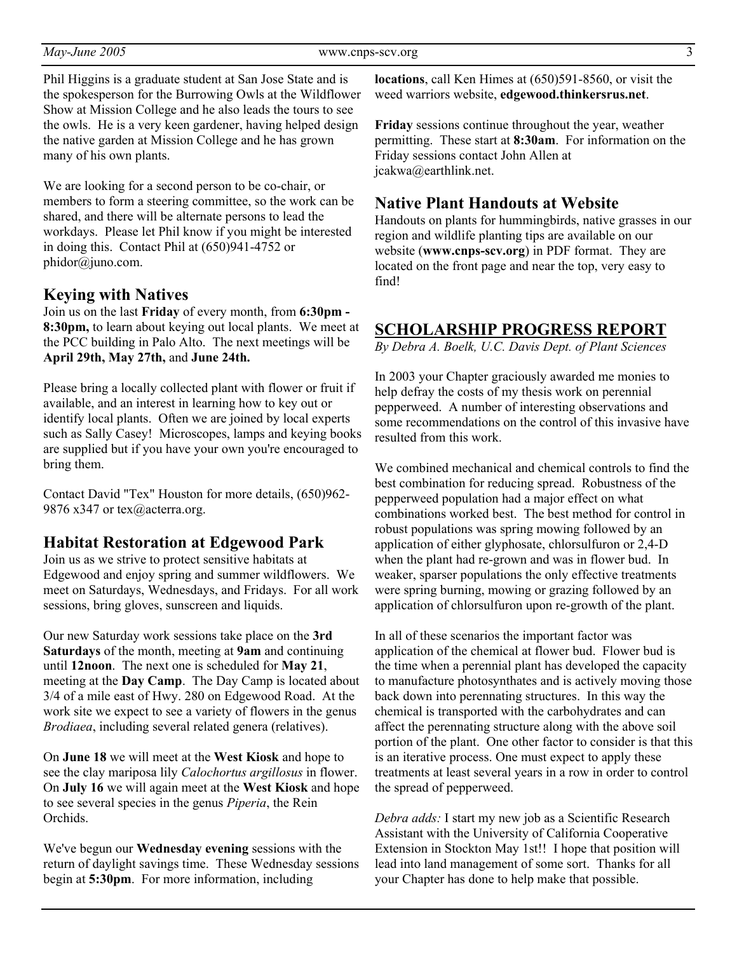Phil Higgins is a graduate student at San Jose State and is the spokesperson for the Burrowing Owls at the Wildflower Show at Mission College and he also leads the tours to see the owls. He is a very keen gardener, having helped design the native garden at Mission College and he has grown many of his own plants.

We are looking for a second person to be co-chair, or members to form a steering committee, so the work can be shared, and there will be alternate persons to lead the workdays. Please let Phil know if you might be interested in doing this. Contact Phil at (650)941-4752 or phidor@juno.com.

#### **Keying with Natives**

Join us on the last **Friday** of every month, from **6:30pm - 8:30pm,** to learn about keying out local plants. We meet at the PCC building in Palo Alto. The next meetings will be **April 29th, May 27th,** and **June 24th.**

Please bring a locally collected plant with flower or fruit if available, and an interest in learning how to key out or identify local plants. Often we are joined by local experts such as Sally Casey! Microscopes, lamps and keying books are supplied but if you have your own you're encouraged to bring them.

Contact David "Tex" Houston for more details, (650)962- 9876 x347 or tex@acterra.org.

### **Habitat Restoration at Edgewood Park**

Join us as we strive to protect sensitive habitats at Edgewood and enjoy spring and summer wildflowers. We meet on Saturdays, Wednesdays, and Fridays. For all work sessions, bring gloves, sunscreen and liquids.

Our new Saturday work sessions take place on the **3rd Saturdays** of the month, meeting at **9am** and continuing until **12noon**. The next one is scheduled for **May 21**, meeting at the **Day Camp**. The Day Camp is located about 3/4 of a mile east of Hwy. 280 on Edgewood Road. At the work site we expect to see a variety of flowers in the genus *Brodiaea*, including several related genera (relatives).

On **June 18** we will meet at the **West Kiosk** and hope to see the clay mariposa lily *Calochortus argillosus* in flower. On **July 16** we will again meet at the **West Kiosk** and hope to see several species in the genus *Piperia*, the Rein Orchids.

We've begun our **Wednesday evening** sessions with the return of daylight savings time. These Wednesday sessions begin at **5:30pm**. For more information, including

**locations**, call Ken Himes at (650)591-8560, or visit the weed warriors website, **edgewood.thinkersrus.net**.

**Friday** sessions continue throughout the year, weather permitting. These start at **8:30am**. For information on the Friday sessions contact John Allen at jcakwa@earthlink.net.

#### **Native Plant Handouts at Website**

Handouts on plants for hummingbirds, native grasses in our region and wildlife planting tips are available on our website (**www.cnps-scv.org**) in PDF format. They are located on the front page and near the top, very easy to find!

## **SCHOLARSHIP PROGRESS REPORT**

*By Debra A. Boelk, U.C. Davis Dept. of Plant Sciences* 

In 2003 your Chapter graciously awarded me monies to help defray the costs of my thesis work on perennial pepperweed. A number of interesting observations and some recommendations on the control of this invasive have resulted from this work.

We combined mechanical and chemical controls to find the best combination for reducing spread. Robustness of the pepperweed population had a major effect on what combinations worked best. The best method for control in robust populations was spring mowing followed by an application of either glyphosate, chlorsulfuron or 2,4-D when the plant had re-grown and was in flower bud. In weaker, sparser populations the only effective treatments were spring burning, mowing or grazing followed by an application of chlorsulfuron upon re-growth of the plant.

In all of these scenarios the important factor was application of the chemical at flower bud. Flower bud is the time when a perennial plant has developed the capacity to manufacture photosynthates and is actively moving those back down into perennating structures. In this way the chemical is transported with the carbohydrates and can affect the perennating structure along with the above soil portion of the plant. One other factor to consider is that this is an iterative process. One must expect to apply these treatments at least several years in a row in order to control the spread of pepperweed.

*Debra adds:* I start my new job as a Scientific Research Assistant with the University of California Cooperative Extension in Stockton May 1st!! I hope that position will lead into land management of some sort. Thanks for all your Chapter has done to help make that possible.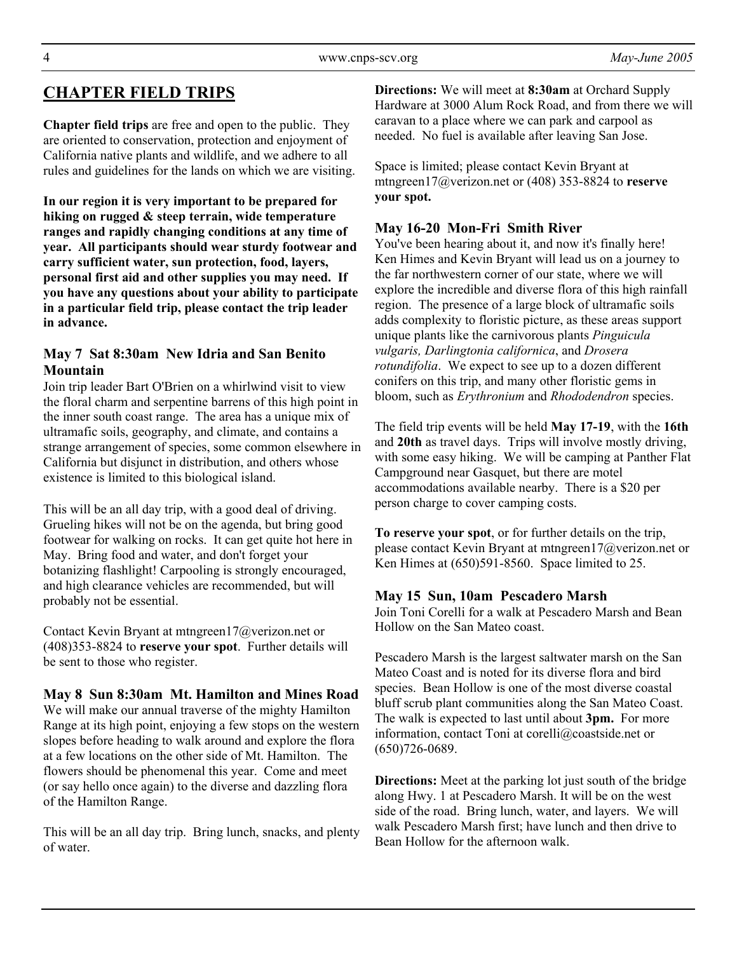# **CHAPTER FIELD TRIPS**

**Chapter field trips** are free and open to the public. They are oriented to conservation, protection and enjoyment of California native plants and wildlife, and we adhere to all rules and guidelines for the lands on which we are visiting.

**In our region it is very important to be prepared for hiking on rugged & steep terrain, wide temperature ranges and rapidly changing conditions at any time of year. All participants should wear sturdy footwear and carry sufficient water, sun protection, food, layers, personal first aid and other supplies you may need. If you have any questions about your ability to participate in a particular field trip, please contact the trip leader in advance.** 

### **May 7 Sat 8:30am New Idria and San Benito Mountain**

Join trip leader Bart O'Brien on a whirlwind visit to view the floral charm and serpentine barrens of this high point in the inner south coast range. The area has a unique mix of ultramafic soils, geography, and climate, and contains a strange arrangement of species, some common elsewhere in California but disjunct in distribution, and others whose existence is limited to this biological island.

This will be an all day trip, with a good deal of driving. Grueling hikes will not be on the agenda, but bring good footwear for walking on rocks. It can get quite hot here in May. Bring food and water, and don't forget your botanizing flashlight! Carpooling is strongly encouraged, and high clearance vehicles are recommended, but will probably not be essential.

Contact Kevin Bryant at mtngreen17@verizon.net or (408)353-8824 to **reserve your spot**. Further details will be sent to those who register.

**May 8 Sun 8:30am Mt. Hamilton and Mines Road**  We will make our annual traverse of the mighty Hamilton Range at its high point, enjoying a few stops on the western slopes before heading to walk around and explore the flora at a few locations on the other side of Mt. Hamilton. The flowers should be phenomenal this year. Come and meet (or say hello once again) to the diverse and dazzling flora of the Hamilton Range.

This will be an all day trip. Bring lunch, snacks, and plenty of water.

**Directions:** We will meet at **8:30am** at Orchard Supply Hardware at 3000 Alum Rock Road, and from there we will caravan to a place where we can park and carpool as needed. No fuel is available after leaving San Jose.

Space is limited; please contact Kevin Bryant at mtngreen17@verizon.net or (408) 353-8824 to **reserve your spot.** 

### **May 16-20 Mon-Fri Smith River**

You've been hearing about it, and now it's finally here! Ken Himes and Kevin Bryant will lead us on a journey to the far northwestern corner of our state, where we will explore the incredible and diverse flora of this high rainfall region. The presence of a large block of ultramafic soils adds complexity to floristic picture, as these areas support unique plants like the carnivorous plants *Pinguicula vulgaris, Darlingtonia californica*, and *Drosera rotundifolia*. We expect to see up to a dozen different conifers on this trip, and many other floristic gems in bloom, such as *Erythronium* and *Rhododendron* species.

The field trip events will be held **May 17-19**, with the **16th** and **20th** as travel days. Trips will involve mostly driving, with some easy hiking. We will be camping at Panther Flat Campground near Gasquet, but there are motel accommodations available nearby. There is a \$20 per person charge to cover camping costs.

**To reserve your spot**, or for further details on the trip, please contact Kevin Bryant at mtngreen17@verizon.net or Ken Himes at (650)591-8560. Space limited to 25.

### **May 15 Sun, 10am Pescadero Marsh**

Join Toni Corelli for a walk at Pescadero Marsh and Bean Hollow on the San Mateo coast.

Pescadero Marsh is the largest saltwater marsh on the San Mateo Coast and is noted for its diverse flora and bird species. Bean Hollow is one of the most diverse coastal bluff scrub plant communities along the San Mateo Coast. The walk is expected to last until about **3pm.** For more information, contact Toni at corelli@coastside.net or (650)726-0689.

**Directions:** Meet at the parking lot just south of the bridge along Hwy. 1 at Pescadero Marsh. It will be on the west side of the road. Bring lunch, water, and layers. We will walk Pescadero Marsh first; have lunch and then drive to Bean Hollow for the afternoon walk.